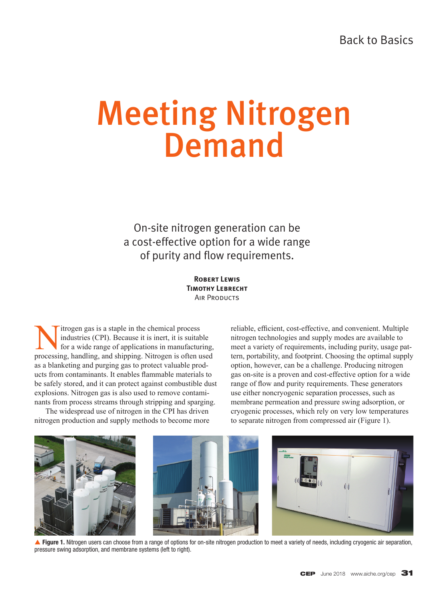# Meeting Nitrogen Demand

On-site nitrogen generation can be a cost-effective option for a wide range of purity and flow requirements.

> **Robert Lewis Timothy Lebrecht AIR PRODUCTS**

Itrogen gas is a staple in the chemical process<br>industries (CPI). Because it is inert, it is suitable for a wide range of applications in manufacture<br>processing handling and shinning Nitrogen is often u industries (CPI). Because it is inert, it is suitable for a wide range of applications in manufacturing, processing, handling, and shipping. Nitrogen is often used as a blanketing and purging gas to protect valuable products from contaminants. It enables flammable materials to be safely stored, and it can protect against combustible dust explosions. Nitrogen gas is also used to remove contaminants from process streams through stripping and sparging.

The widespread use of nitrogen in the CPI has driven nitrogen production and supply methods to become more reliable, efficient, cost-effective, and convenient. Multiple nitrogen technologies and supply modes are available to meet a variety of requirements, including purity, usage pattern, portability, and footprint. Choosing the optimal supply option, however, can be a challenge. Producing nitrogen gas on-site is a proven and cost-effective option for a wide range of flow and purity requirements. These generators use either noncryogenic separation processes, such as membrane permeation and pressure swing adsorption, or cryogenic processes, which rely on very low temperatures to separate nitrogen from compressed air (Figure 1).



▲ Figure 1. Nitrogen users can choose from a range of options for on-site nitrogen production to meet a variety of needs, including cryogenic air separation, pressure swing adsorption, and membrane systems (left to right).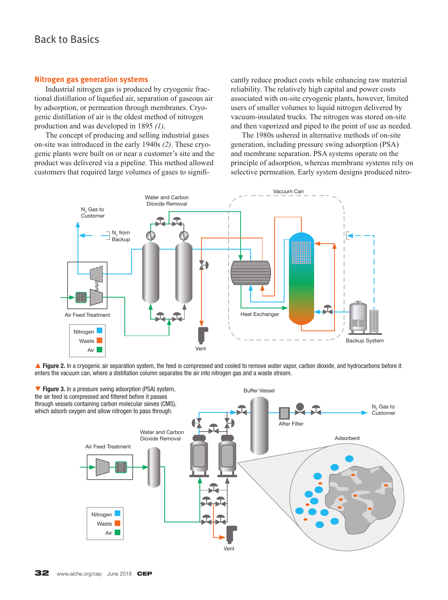# Back to Basics

### **Nitrogen gas generation systems**

Industrial nitrogen gas is produced by cryogenic fractional distillation of liquefied air, separation of gaseous air by adsorption, or permeation through membranes. Cryogenic distillation of air is the oldest method of nitrogen production and was developed in 1895 *(1)*.

The concept of producing and selling industrial gases on-site was introduced in the early 1940s *(2)*. These cryogenic plants were built on or near a customer's site and the product was delivered via a pipeline. This method allowed customers that required large volumes of gases to significantly reduce product costs while enhancing raw material reliability. The relatively high capital and power costs associated with on-site cryogenic plants, however, limited users of smaller volumes to liquid nitrogen delivered by vacuum-insulated trucks. The nitrogen was stored on-site and then vaporized and piped to the point of use as needed.

The 1980s ushered in alternative methods of on-site generation, including pressure swing adsorption (PSA) and membrane separation. PSA systems operate on the principle of adsorption, whereas membrane systems rely on selective permeation. Early system designs produced nitro-



**A Figure 2.** In a cryogenic air separation system, the feed is compressed and cooled to remove water vapor, carbon dioxide, and hydrocarbons before it enters the vacuum can, where a distillation column separates the air into nitrogen gas and a waste stream.

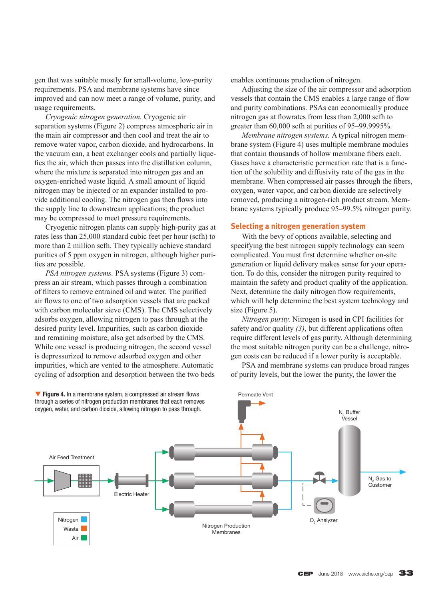gen that was suitable mostly for small-volume, low-purity requirements. PSA and membrane systems have since improved and can now meet a range of volume, purity, and usage requirements.

*Cryogenic nitrogen generation.* Cryogenic air separation systems (Figure 2) compress atmospheric air in the main air compressor and then cool and treat the air to remove water vapor, carbon dioxide, and hydrocarbons. In the vacuum can, a heat exchanger cools and partially liquefies the air, which then passes into the distillation column, where the mixture is separated into nitrogen gas and an oxygen-enriched waste liquid. A small amount of liquid nitrogen may be injected or an expander installed to provide additional cooling. The nitrogen gas then flows into the supply line to downstream applications; the product may be compressed to meet pressure requirements.

Cryogenic nitrogen plants can supply high-purity gas at rates less than 25,000 standard cubic feet per hour (scfh) to more than 2 million scfh. They typically achieve standard purities of 5 ppm oxygen in nitrogen, although higher purities are possible.

*PSA nitrogen systems.* PSA systems (Figure 3) compress an air stream, which passes through a combination of filters to remove entrained oil and water. The purified air flows to one of two adsorption vessels that are packed with carbon molecular sieve (CMS). The CMS selectively adsorbs oxygen, allowing nitrogen to pass through at the desired purity level. Impurities, such as carbon dioxide and remaining moisture, also get adsorbed by the CMS. While one vessel is producing nitrogen, the second vessel is depressurized to remove adsorbed oxygen and other impurities, which are vented to the atmosphere. Automatic cycling of adsorption and desorption between the two beds enables continuous production of nitrogen.

Adjusting the size of the air compressor and adsorption vessels that contain the CMS enables a large range of flow and purity combinations. PSAs can economically produce nitrogen gas at flowrates from less than 2,000 scfh to greater than 60,000 scfh at purities of 95–99.9995%.

*Membrane nitrogen systems.* A typical nitrogen membrane system (Figure 4) uses multiple membrane modules that contain thousands of hollow membrane fibers each. Gases have a characteristic permeation rate that is a function of the solubility and diffusivity rate of the gas in the membrane. When compressed air passes through the fibers, oxygen, water vapor, and carbon dioxide are selectively removed, producing a nitrogen-rich product stream. Membrane systems typically produce 95–99.5% nitrogen purity.

#### **Selecting a nitrogen generation system**

With the bevy of options available, selecting and specifying the best nitrogen supply technology can seem complicated. You must first determine whether on-site generation or liquid delivery makes sense for your operation. To do this, consider the nitrogen purity required to maintain the safety and product quality of the application. Next, determine the daily nitrogen flow requirements, which will help determine the best system technology and size (Figure 5).

*Nitrogen purity.* Nitrogen is used in CPI facilities for safety and/or quality *(3)*, but different applications often require different levels of gas purity. Although determining the most suitable nitrogen purity can be a challenge, nitrogen costs can be reduced if a lower purity is acceptable.

PSA and membrane systems can produce broad ranges of purity levels, but the lower the purity, the lower the

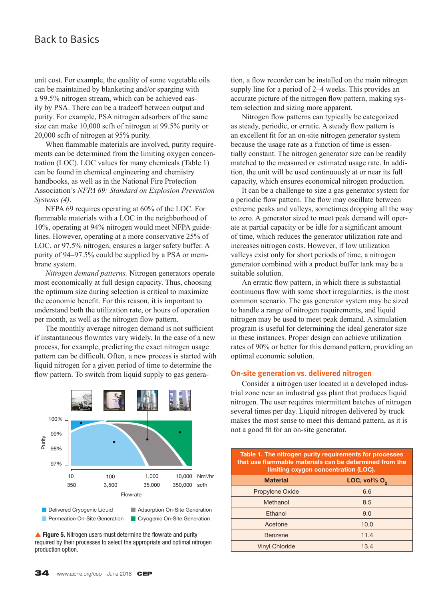# Back to Basics

unit cost. For example, the quality of some vegetable oils can be maintained by blanketing and/or sparging with a 99.5% nitrogen stream, which can be achieved easily by PSA. There can be a tradeoff between output and purity. For example, PSA nitrogen adsorbers of the same size can make 10,000 scfh of nitrogen at 99.5% purity or 20,000 scfh of nitrogen at 95% purity.

When flammable materials are involved, purity requirements can be determined from the limiting oxygen concentration (LOC). LOC values for many chemicals (Table 1) can be found in chemical engineering and chemistry handbooks, as well as in the National Fire Protection Association's *NFPA 69: Standard on Explosion Prevention Systems (4)*.

NFPA 69 requires operating at 60% of the LOC. For flammable materials with a LOC in the neighborhood of 10%, operating at 94% nitrogen would meet NFPA guidelines. However, operating at a more conservative 25% of LOC, or 97.5% nitrogen, ensures a larger safety buffer. A purity of 94–97.5% could be supplied by a PSA or membrane system.

*Nitrogen demand patterns.* Nitrogen generators operate most economically at full design capacity. Thus, choosing the optimum size during selection is critical to maximize the economic benefit. For this reason, it is important to understand both the utilization rate, or hours of operation per month, as well as the nitrogen flow pattern.

The monthly average nitrogen demand is not sufficient if instantaneous flowrates vary widely. In the case of a new process, for example, predicting the exact nitrogen usage pattern can be difficult. Often, a new process is started with liquid nitrogen for a given period of time to determine the flow pattern. To switch from liquid supply to gas genera-



▲ Figure 5. Nitrogen users must determine the flowrate and purity required by their processes to select the appropriate and optimal nitrogen production option.

tion, a flow recorder can be installed on the main nitrogen supply line for a period of 2–4 weeks. This provides an accurate picture of the nitrogen flow pattern, making system selection and sizing more apparent.

Nitrogen flow patterns can typically be categorized as steady, periodic, or erratic. A steady flow pattern is an excellent fit for an on-site nitrogen generator system because the usage rate as a function of time is essentially constant. The nitrogen generator size can be readily matched to the measured or estimated usage rate. In addition, the unit will be used continuously at or near its full capacity, which ensures economical nitrogen production.

It can be a challenge to size a gas generator system for a periodic flow pattern. The flow may oscillate between extreme peaks and valleys, sometimes dropping all the way to zero. A generator sized to meet peak demand will operate at partial capacity or be idle for a significant amount of time, which reduces the generator utilization rate and increases nitrogen costs. However, if low utilization valleys exist only for short periods of time, a nitrogen generator combined with a product buffer tank may be a suitable solution.

An erratic flow pattern, in which there is substantial continuous flow with some short irregularities, is the most common scenario. The gas generator system may be sized to handle a range of nitrogen requirements, and liquid nitrogen may be used to meet peak demand. A simulation program is useful for determining the ideal generator size in these instances. Proper design can achieve utilization rates of 90% or better for this demand pattern, providing an optimal economic solution.

#### **On-site generation vs. delivered nitrogen**

Consider a nitrogen user located in a developed industrial zone near an industrial gas plant that produces liquid nitrogen. The user requires intermittent batches of nitrogen several times per day. Liquid nitrogen delivered by truck makes the most sense to meet this demand pattern, as it is not a good fit for an on-site generator.

| Table 1. The nitrogen purity requirements for processes<br>that use flammable materials can be determined from the<br>limiting oxygen concentration (LOC). |                 |
|------------------------------------------------------------------------------------------------------------------------------------------------------------|-----------------|
| <b>Material</b>                                                                                                                                            | LOC, vol% $O_2$ |
| Propylene Oxide                                                                                                                                            | 6.6             |
| Methanol                                                                                                                                                   | 8.5             |
| Fthanol                                                                                                                                                    | 9.0             |
| Acetone                                                                                                                                                    | 10.0            |
| Benzene                                                                                                                                                    | 11.4            |
| <b>Vinyl Chloride</b>                                                                                                                                      | 13.4            |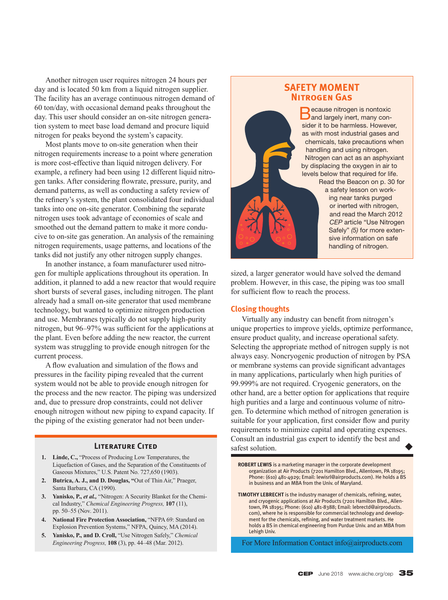Another nitrogen user requires nitrogen 24 hours per day and is located 50 km from a liquid nitrogen supplier. The facility has an average continuous nitrogen demand of 60 ton/day, with occasional demand peaks throughout the day. This user should consider an on-site nitrogen generation system to meet base load demand and procure liquid nitrogen for peaks beyond the system's capacity.

Most plants move to on-site generation when their nitrogen requirements increase to a point where generation is more cost-effective than liquid nitrogen delivery. For example, a refinery had been using 12 different liquid nitrogen tanks. After considering flowrate, pressure, purity, and demand patterns, as well as conducting a safety review of the refinery's system, the plant consolidated four individual tanks into one on-site generator. Combining the separate nitrogen uses took advantage of economies of scale and smoothed out the demand pattern to make it more conducive to on-site gas generation. An analysis of the remaining nitrogen requirements, usage patterns, and locations of the tanks did not justify any other nitrogen supply changes.

In another instance, a foam manufacturer used nitrogen for multiple applications throughout its operation. In addition, it planned to add a new reactor that would require short bursts of several gases, including nitrogen. The plant already had a small on-site generator that used membrane technology, but wanted to optimize nitrogen production and use. Membranes typically do not supply high-purity nitrogen, but 96–97% was sufficient for the applications at the plant. Even before adding the new reactor, the current system was struggling to provide enough nitrogen for the current process.

A flow evaluation and simulation of the flows and pressures in the facility piping revealed that the current system would not be able to provide enough nitrogen for the process and the new reactor. The piping was undersized and, due to pressure drop constraints, could not deliver enough nitrogen without new piping to expand capacity. If the piping of the existing generator had not been under-

- **1. Linde, C.,** "Process of Producing Low Temperatures, the Liquefaction of Gases, and the Separation of the Constituents of Gaseous Mixtures," U.S. Patent No. 727,650 (1903).
- **2. Butrica, A. J., and D. Douglas, "**Out of Thin Air," Praeger, Santa Barbara, CA (1990).
- **3. Yanisko, P.,** *et al.,* "Nitrogen: A Security Blanket for the Chemical Industry," *Chemical Engineering Progress,* **107** (11), pp. 50–55 (Nov. 2011).
- **4. National Fire Protection Association,** "NFPA 69: Standard on Explosion Prevention Systems," NFPA, Quincy, MA (2014).
- **5. Yanisko, P., and D. Croll,** "Use Nitrogen Safely," *Chemical Engineering Progress,* **108** (3), pp. 44–48 (Mar. 2012).

# **SAFETY MOMENT Nitrogen Gas**

**B** ecause nitrogen is nontoxic<br> **B** and largely inert, many consider it to be harmless. However, as with most industrial gases and chemicals, take precautions when handling and using nitrogen. Nitrogen can act as an asphyxiant by displacing the oxygen in air to levels below that required for life. Read the Beacon on p. 30 for a safety lesson on working near tanks purged or inerted with nitrogen, and read the March 2012 *CEP* article "Use Nitrogen Safely" *(5)* for more extensive information on safe handling of nitrogen.

sized, a larger generator would have solved the demand problem. However, in this case, the piping was too small for sufficient flow to reach the process.

# **Closing thoughts**

Virtually any industry can benefit from nitrogen's unique properties to improve yields, optimize performance, ensure product quality, and increase operational safety. Selecting the appropriate method of nitrogen supply is not always easy. Noncryogenic production of nitrogen by PSA or membrane systems can provide significant advantages in many applications, particularly when high purities of 99.999% are not required. Cryogenic generators, on the other hand, are a better option for applications that require high purities and a large and continuous volume of nitrogen. To determine which method of nitrogen generation is suitable for your application, first consider flow and purity requirements to minimize capital and operating expenses. **Consult an industrial gas expert to identify the best and <b>LITERATURE CITED** safest solution.  $\blacklozenge$ 

> **ROBERT LEWIS** is a marketing manager in the corporate development organization at Air Products (7201 Hamilton Blvd., Allentown, PA 18195; Phone: (610) 481-4929; Email: lewisrl@airproducts.com). He holds a BS in business and an MBA from the Univ. of Maryland.

> **TIMOTHY LEBRECHT** is the industry manager of chemicals, refining, water, and cryogenic applications at Air Products (7201 Hamilton Blvd., Allentown, PA 18195; Phone: (610) 481-8388; Email: lebrectd@airproducts. com), where he is responsible for commercial technology and development for the chemicals, refining, and water treatment markets. He holds a BS in chemical engineering from Purdue Univ. and an MBA from Lehigh Univ.

For More Information Contact info@airproducts.com